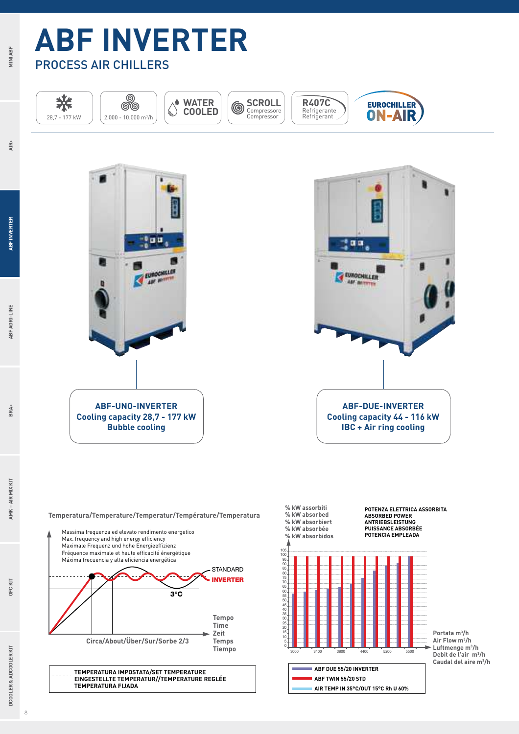

**MINI ABF**

**AIR+**

**ABF INVERTER**

**ABF AGRI-LINE**

BRA+





**Temperatura/Temperature/Temperatur/Température/Temperatura**





8

**OFC KIT**

DCOOLER & ADCOOLER KIT

**DCOOLER & ADCOOLER KIT BRA+ AMK – AIR MIX KIT**

**AMK-AIR MIX KIT**